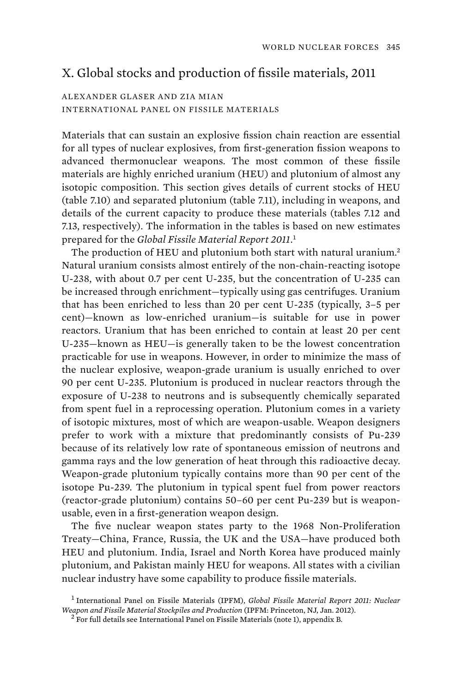## X. Global stocks and production of fissile materials, 2011

## ALEXANDER GLASER AND ZIA MIAN INTERNATIONAL PANEL ON FISSILE MATERIALS

Materials that can sustain an explosive fission chain reaction are essential for all types of nuclear explosives, from first-generation fission weapons to advanced thermonuclear weapons. The most common of these fissile materials are highly enriched uranium (HEU) and plutonium of almost any isotopic composition. This section gives details of current stocks of HEU (table 7.10) and separated plutonium (table 7.11), including in weapons, and details of the current capacity to produce these materials (tables 7.12 and 7.13, respectively). The information in the tables is based on new estimates prepared for the *Global Fissile Material Report 2011*. 1

The production of HEU and plutonium both start with natural uranium.<sup>2</sup> Natural uranium consists almost entirely of the non-chain-reacting isotope U-238, with about 0.7 per cent U-235, but the concentration of U-235 can be increased through enrichment—typically using gas centrifuges. Uranium that has been enriched to less than 20 per cent U-235 (typically, 3–5 per cent)—known as low-enriched uranium—is suitable for use in power reactors. Uranium that has been enriched to contain at least 20 per cent U-235—known as HEU—is generally taken to be the lowest concentration practicable for use in weapons. However, in order to minimize the mass of the nuclear explosive, weapon-grade uranium is usually enriched to over 90 per cent U-235. Plutonium is produced in nuclear reactors through the exposure of U-238 to neutrons and is subsequently chemically separated from spent fuel in a reprocessing operation. Plutonium comes in a variety of isotopic mixtures, most of which are weapon-usable. Weapon designers prefer to work with a mixture that predominantly consists of Pu-239 because of its relatively low rate of spontaneous emission of neutrons and gamma rays and the low generation of heat through this radioactive decay. Weapon-grade plutonium typically contains more than 90 per cent of the isotope Pu-239. The plutonium in typical spent fuel from power reactors (reactor-grade plutonium) contains 50–60 per cent Pu-239 but is weaponusable, even in a first-generation weapon design.

The five nuclear weapon states party to the 1968 Non-Proliferation Treaty—China, France, Russia, the UK and the USA—have produced both HEU and plutonium. India, Israel and North Korea have produced mainly plutonium, and Pakistan mainly HEU for weapons. All states with a civilian nuclear industry have some capability to produce fissile materials.

<sup>1</sup> International Panel on Fissile Materials (IPFM), *Global Fissile Material Report 2011: Nuclear Weapon and Fissile Material Stockpiles and Production* (IPFM: Princeton, NJ, Jan. 2012). <sup>2</sup>

 $<sup>2</sup>$  For full details see International Panel on Fissile Materials (note 1), appendix B.</sup>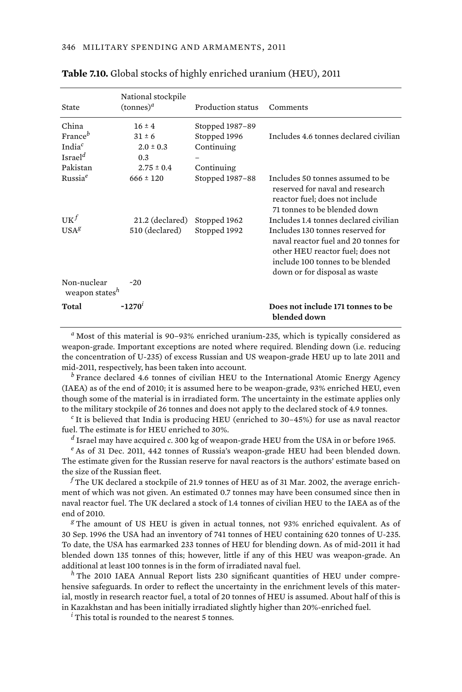| State                                                                     | National stockpile<br>$(\text{tonnes})^d$        | Production status                             | Comments                                                                                                                                                                          |
|---------------------------------------------------------------------------|--------------------------------------------------|-----------------------------------------------|-----------------------------------------------------------------------------------------------------------------------------------------------------------------------------------|
| China<br>France <sup>b</sup><br>India <sup>c</sup><br>Israel <sup>d</sup> | $16 \pm 4$<br>$31 \pm 6$<br>$2.0 \pm 0.3$<br>0.3 | Stopped 1987-89<br>Stopped 1996<br>Continuing | Includes 4.6 tonnes declared civilian                                                                                                                                             |
| Pakistan                                                                  | $2.75 \pm 0.4$                                   | Continuing                                    |                                                                                                                                                                                   |
| Russia <sup>e</sup>                                                       | $666 \pm 120$                                    | Stopped 1987–88                               | Includes 50 tonnes assumed to be<br>reserved for naval and research<br>reactor fuel; does not include<br>71 tonnes to be blended down                                             |
| $\mathbf{U}\mathbf{K}^f$                                                  | 21.2 (declared)                                  | Stopped 1962                                  | Includes 1.4 tonnes declared civilian                                                                                                                                             |
| USA <sup>g</sup>                                                          | 510 (declared)                                   | Stopped 1992                                  | Includes 130 tonnes reserved for<br>naval reactor fuel and 20 tonnes for<br>other HEU reactor fuel; does not<br>include 100 tonnes to be blended<br>down or for disposal as waste |
| Non-nuclear<br>weapon states <sup>h</sup>                                 | $-20$                                            |                                               |                                                                                                                                                                                   |
| Total                                                                     | $~1270^1$                                        |                                               | Does not include 171 tonnes to be<br>blended down                                                                                                                                 |

| Table 7.10. Global stocks of highly enriched uranium (HEU), 2011 |  |  |  |  |
|------------------------------------------------------------------|--|--|--|--|
|                                                                  |  |  |  |  |

*a* Most of this material is 90–93% enriched uranium-235, which is typically considered as weapon-grade. Important exceptions are noted where required. Blending down (i.e. reducing the concentration of U-235) of excess Russian and US weapon-grade HEU up to late 2011 and mid-2011, respectively, has been taken into account.

*b* France declared 4.6 tonnes of civilian HEU to the International Atomic Energy Agency (IAEA) as of the end of 2010; it is assumed here to be weapon-grade, 93% enriched HEU, even though some of the material is in irradiated form. The uncertainty in the estimate applies only to the military stockpile of 26 tonnes and does not apply to the declared stock of 4.9 tonnes.

*c* It is believed that India is producing HEU (enriched to 30–45%) for use as naval reactor fuel. The estimate is for HEU enriched to 30%.

*d* Israel may have acquired *c*. 300 kg of weapon-grade HEU from the USA in or before 1965.

*e* As of 31 Dec. 2011, 442 tonnes of Russia's weapon-grade HEU had been blended down. The estimate given for the Russian reserve for naval reactors is the authors' estimate based on the size of the Russian fleet.

 $^f$ The UK declared a stockpile of 21.9 tonnes of HEU as of 31 Mar. 2002, the average enrichment of which was not given. An estimated 0.7 tonnes may have been consumed since then in naval reactor fuel. The UK declared a stock of 1.4 tonnes of civilian HEU to the IAEA as of the end of 2010.

*g* The amount of US HEU is given in actual tonnes, not 93% enriched equivalent. As of 30 Sep. 1996 the USA had an inventory of 741 tonnes of HEU containing 620 tonnes of U-235. To date, the USA has earmarked 233 tonnes of HEU for blending down. As of mid-2011 it had blended down 135 tonnes of this; however, little if any of this HEU was weapon-grade. An additional at least 100 tonnes is in the form of irradiated naval fuel.

*<sup>h</sup>* The 2010 IAEA Annual Report lists 230 significant quantities of HEU under comprehensive safeguards. In order to reflect the uncertainty in the enrichment levels of this material, mostly in research reactor fuel, a total of 20 tonnes of HEU is assumed. About half of this is in Kazakhstan and has been initially irradiated slightly higher than 20%-enriched fuel.

*i* This total is rounded to the nearest 5 tonnes.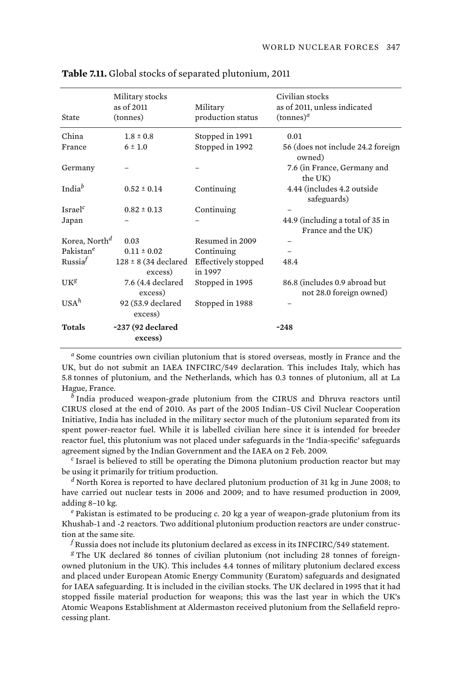| State                     | Military stocks<br>as of 2011<br>(tonnes) | Military<br>production status  | Civilian stocks<br>as of 2011, unless indicated<br>$(\text{tonnes})^d$ |
|---------------------------|-------------------------------------------|--------------------------------|------------------------------------------------------------------------|
| China                     | $1.8 \pm 0.8$                             | Stopped in 1991                | 0.01                                                                   |
| France                    | $6 \pm 1.0$                               | Stopped in 1992                | 56 (does not include 24.2 foreign<br>owned)                            |
| Germany                   |                                           |                                | 7.6 (in France, Germany and<br>the UK)                                 |
| India <sup>b</sup>        | $0.52 \pm 0.14$                           | Continuing                     | 4.44 (includes 4.2 outside<br>safeguards)                              |
| Israel <sup>c</sup>       | $0.82 \pm 0.13$                           | Continuing                     |                                                                        |
| Japan                     |                                           |                                | 44.9 (including a total of 35 in<br>France and the UK)                 |
| Korea, North <sup>d</sup> | 0.03                                      | Resumed in 2009                |                                                                        |
| Pakistan <sup>e</sup>     | $0.11 \pm 0.02$                           | Continuing                     |                                                                        |
| Russia <sup>f</sup>       | $128 \pm 8$ (34 declared<br>excess)       | Effectively stopped<br>in 1997 | 48.4                                                                   |
| UK <sup>g</sup>           | 7.6 (4.4 declared<br>excess)              | Stopped in 1995                | 86.8 (includes 0.9 abroad but<br>not 28.0 foreign owned)               |
| USA <sup>h</sup>          | 92 (53.9 declared<br>excess)              | Stopped in 1988                |                                                                        |
| <b>Totals</b>             | ~237 (92 declared<br>excess)              |                                | ~248                                                                   |

|  |  | Table 7.11. Global stocks of separated plutonium, 2011 |  |
|--|--|--------------------------------------------------------|--|
|  |  |                                                        |  |

*a* Some countries own civilian plutonium that is stored overseas, mostly in France and the UK, but do not submit an IAEA INFCIRC/549 declaration. This includes Italy, which has 5.8 tonnes of plutonium, and the Netherlands, which has 0.3 tonnes of plutonium, all at La Hague, France.

*b* India produced weapon-grade plutonium from the CIRUS and Dhruva reactors until CIRUS closed at the end of 2010. As part of the 2005 Indian–US Civil Nuclear Cooperation Initiative, India has included in the military sector much of the plutonium separated from its spent power-reactor fuel. While it is labelled civilian here since it is intended for breeder reactor fuel, this plutonium was not placed under safeguards in the 'India-specific' safeguards agreement signed by the Indian Government and the IAEA on 2 Feb. 2009.

*c* Israel is believed to still be operating the Dimona plutonium production reactor but may be using it primarily for tritium production.

*d* North Korea is reported to have declared plutonium production of 31 kg in June 2008; to have carried out nuclear tests in 2006 and 2009; and to have resumed production in 2009, adding 8–10 kg.

*e* Pakistan is estimated to be producing *c*. 20 kg a year of weapon-grade plutonium from its Khushab-1 and -2 reactors. Two additional plutonium production reactors are under construction at the same site.

 $^f$  Russia does not include its plutonium declared as excess in its INFCIRC/549 statement.

<sup>g</sup> The UK declared 86 tonnes of civilian plutonium (not including 28 tonnes of foreignowned plutonium in the UK). This includes 4.4 tonnes of military plutonium declared excess and placed under European Atomic Energy Community (Euratom) safeguards and designated for IAEA safeguarding. It is included in the civilian stocks. The UK declared in 1995 that it had stopped fissile material production for weapons; this was the last year in which the UK's Atomic Weapons Establishment at Aldermaston received plutonium from the Sellafield reprocessing plant.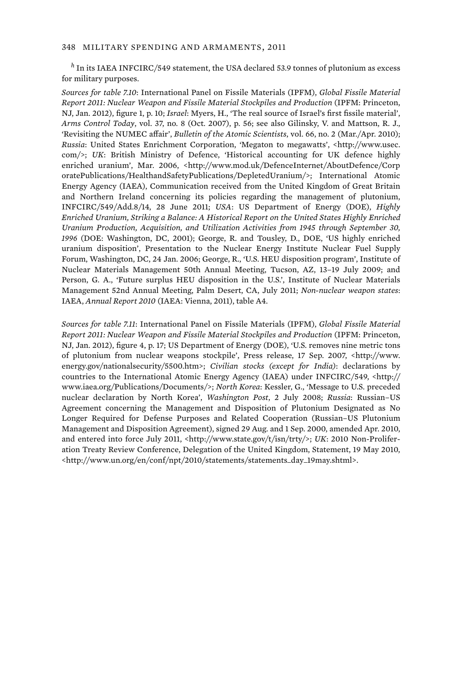## 348 MILITARY SPENDING AND ARMAMENTS, 2011

*<sup>h</sup>* In its IAEA INFCIRC/549 statement, the USA declared 53.9 tonnes of plutonium as excess for military purposes.

*Sources for table 7.10*: International Panel on Fissile Materials (IPFM), *Global Fissile Material Report 2011: Nuclear Weapon and Fissile Material Stockpiles and Production* (IPFM: Princeton, NJ, Jan. 2012), figure 1, p. 10; *Israel*: Myers, H., 'The real source of Israel's first fissile material', *Arms Control Today*, vol. 37, no. 8 (Oct. 2007), p. 56; see also Gilinsky, V. and Mattson, R. J., 'Revisiting the NUMEC affair', *Bulletin of the Atomic Scientists*, vol. 66, no. 2 (Mar./Apr. 2010); *Russia*: United States Enrichment Corporation, 'Megaton to megawatts', <http://www.usec. com/>; *UK*: British Ministry of Defence, 'Historical accounting for UK defence highly enriched uranium', Mar. 2006, <http://www.mod.uk/DefenceInternet/AboutDefence/Corp oratePublications/HealthandSafetyPublications/DepletedUranium/>; International Atomic Energy Agency (IAEA), Communication received from the United Kingdom of Great Britain and Northern Ireland concerning its policies regarding the management of plutonium, INFCIRC/549/Add.8/14, 28 June 2011; *USA*: US Department of Energy (DOE), *Highly Enriched Uranium, Striking a Balance: A Historical Report on the United States Highly Enriched Uranium Production, Acquisition, and Utilization Activities from 1945 through September 30, 1996* (DOE: Washington, DC, 2001); George, R. and Tousley, D., DOE, 'US highly enriched uranium disposition', Presentation to the Nuclear Energy Institute Nuclear Fuel Supply Forum, Washington, DC, 24 Jan. 2006; George, R., 'U.S. HEU disposition program', Institute of Nuclear Materials Management 50th Annual Meeting, Tucson, AZ, 13–19 July 2009; and Person, G. A., 'Future surplus HEU disposition in the U.S.', Institute of Nuclear Materials Management 52nd Annual Meeting, Palm Desert, CA, July 2011; *Non-nuclear weapon states*: IAEA, *Annual Report 2010* (IAEA: Vienna, 2011), table A4.

*Sources for table 7.11*: International Panel on Fissile Materials (IPFM), *Global Fissile Material Report 2011: Nuclear Weapon and Fissile Material Stockpiles and Production* (IPFM: Princeton, NJ, Jan. 2012), figure 4, p. 17; US Department of Energy (DOE), 'U.S. removes nine metric tons of plutonium from nuclear weapons stockpile', Press release, 17 Sep. 2007, <http://www. energy.gov/nationalsecurity/5500.htm>; *Civilian stocks (except for India)*: declarations by countries to the International Atomic Energy Agency (IAEA) under INFCIRC/549, <http:// www.iaea.org/Publications/Documents/>; *North Korea*: Kessler, G., 'Message to U.S. preceded nuclear declaration by North Korea', *Washington Post*, 2 July 2008; *Russia*: Russian–US Agreement concerning the Management and Disposition of Plutonium Designated as No Longer Required for Defense Purposes and Related Cooperation (Russian–US Plutonium Management and Disposition Agreement), signed 29 Aug. and 1 Sep. 2000, amended Apr. 2010, and entered into force July 2011, <http://www.state.gov/t/isn/trty/>; *UK*: 2010 Non-Proliferation Treaty Review Conference, Delegation of the United Kingdom, Statement, 19 May 2010, <http://www.un.org/en/conf/npt/2010/statements/statements\_day\_19may.shtml>.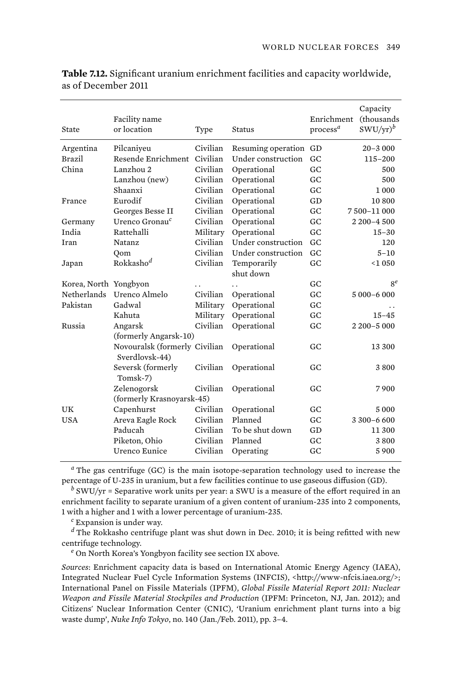| State                 | Facility name<br>or location                    | Type     | <b>Status</b>            | Enrichment<br>process <sup>a</sup> | Capacity<br>(thousands<br>$SWU/vr)^b$ |
|-----------------------|-------------------------------------------------|----------|--------------------------|------------------------------------|---------------------------------------|
| Argentina             | Pilcaniyeu                                      | Civilian | Resuming operation GD    |                                    | $20 - 3000$                           |
| <b>Brazil</b>         | Resende Enrichment Civilian                     |          | Under construction       | GC                                 | $115 - 200$                           |
| China                 | Lanzhou 2                                       | Civilian | Operational              | GC                                 | 500                                   |
|                       | Lanzhou (new)                                   | Civilian | Operational              | GC                                 | 500                                   |
|                       | Shaanxi                                         | Civilian | Operational              | GC                                 | 1000                                  |
| France                | Eurodif                                         | Civilian | Operational              | GD                                 | 10 800                                |
|                       | Georges Besse II                                | Civilian | Operational              | GC                                 | 7500-11000                            |
| Germany               | Urenco Gronau <sup>c</sup>                      | Civilian | Operational              | GC.                                | 2 200-4 500                           |
| India                 | Rattehalli                                      | Military | Operational              | GC                                 | $15 - 30$                             |
| Iran                  | <b>Natanz</b>                                   | Civilian | Under construction       | G <sub>C</sub>                     | 120                                   |
|                       | Qom                                             | Civilian | Under construction       | GC                                 | $5 - 10$                              |
| Japan                 | Rokkasho <sup>d</sup>                           | Civilian | Temporarily<br>shut down | GC                                 | < 1050                                |
| Korea, North Yongbyon |                                                 |          |                          | GC                                 | $8^e$                                 |
| Netherlands           | Urenco Almelo                                   | Civilian | . .<br>Operational       | GC                                 | 5 000-6 000                           |
| Pakistan              | Gadwal                                          | Military | Operational              | GC                                 |                                       |
|                       | Kahuta                                          | Military | Operational              | GC                                 | $15 - 45$                             |
| Russia                | Angarsk                                         | Civilian | Operational              | GC                                 | 2 200-5 000                           |
|                       | (formerly Angarsk-10)                           |          |                          |                                    |                                       |
|                       | Novouralsk (formerly Civilian<br>Sverdlovsk-44) |          | Operational              | GC                                 | 13 300                                |
|                       | Seversk (formerly<br>Tomsk-7)                   | Civilian | Operational              | GC                                 | 3800                                  |
|                       | Zelenogorsk<br>(formerly Krasnoyarsk-45)        | Civilian | Operational              | GC                                 | 7900                                  |
| UK                    | Capenhurst                                      | Civilian | Operational              | GC                                 | 5 0 0 0                               |
| <b>USA</b>            | Areva Eagle Rock                                | Civilian | Planned                  | GC                                 | 3 300-6 600                           |
|                       | Paducah                                         | Civilian | To be shut down          | GD                                 | 11 300                                |
|                       | Piketon, Ohio                                   | Civilian | Planned                  | GC                                 | 3800                                  |
|                       | Urenco Eunice                                   | Civilian | Operating                | GC                                 | 5900                                  |

**Table 7.12.** Significant uranium enrichment facilities and capacity worldwide, as of December 2011

*a* The gas centrifuge (GC) is the main isotope-separation technology used to increase the percentage of U-235 in uranium, but a few facilities continue to use gaseous diffusion (GD).

*b* SWU/yr = Separative work units per year: a SWU is a measure of the effort required in an enrichment facility to separate uranium of a given content of uranium-235 into 2 components, 1 with a higher and 1 with a lower percentage of uranium-235.

*c* Expansion is under way.

*d* The Rokkasho centrifuge plant was shut down in Dec. 2010; it is being refitted with new centrifuge technology.

*e* On North Korea's Yongbyon facility see section IX above.

*Sources*: Enrichment capacity data is based on International Atomic Energy Agency (IAEA), Integrated Nuclear Fuel Cycle Information Systems (INFCIS), <http://www-nfcis.iaea.org/>; International Panel on Fissile Materials (IPFM), *Global Fissile Material Report 2011: Nuclear Weapon and Fissile Material Stockpiles and Production* (IPFM: Princeton, NJ, Jan. 2012); and Citizens' Nuclear Information Center (CNIC), 'Uranium enrichment plant turns into a big waste dump', *Nuke Info Tokyo*, no. 140 (Jan./Feb. 2011), pp. 3–4.